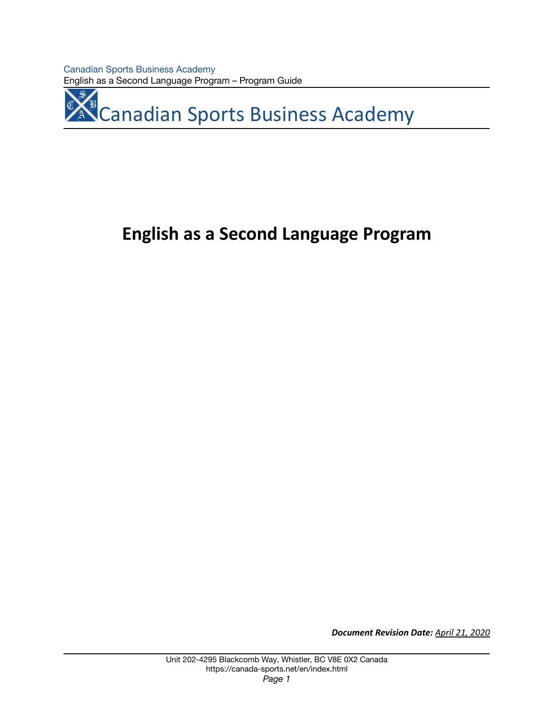Canadian Sports Business Academy English as a Second Language Program – Program Guide

**A<sup>C</sup> Canadian Sports Business Academy** 

# **English as a Second Language Program**

*Document Revision Date: April 21, 2020*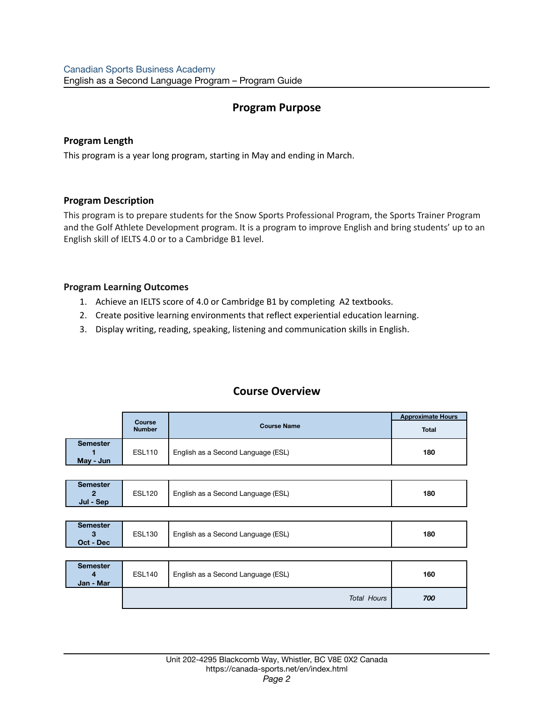# **Program Purpose**

# **Program Length**

This program is a year long program, starting in May and ending in March.

# **Program Description**

**Jul - Sep**

This program is to prepare students for the Snow Sports Professional Program, the Sports Trainer Program and the Golf Athlete Development program. It is a program to improve English and bring students' up to an English skill of IELTS 4.0 or to a Cambridge B1 level.

# **Program Learning Outcomes**

- 1. Achieve an IELTS score of 4.0 or Cambridge B1 by completing A2 textbooks.
- 2. Create positive learning environments that reflect experiential education learning.
- 3. Display writing, reading, speaking, listening and communication skills in English.

|                              | <b>Course</b><br><b>Number</b> | <b>Course Name</b>                 | <b>Approximate Hours</b> |
|------------------------------|--------------------------------|------------------------------------|--------------------------|
|                              |                                |                                    | <b>Total</b>             |
| <b>Semester</b><br>May - Jun | <b>ESL110</b>                  | English as a Second Language (ESL) | 180                      |

**Course Overview**

| May - Jun       |               |                                    |     |
|-----------------|---------------|------------------------------------|-----|
|                 |               |                                    |     |
|                 |               |                                    |     |
| <b>Semester</b> |               |                                    |     |
|                 |               |                                    |     |
|                 | <b>ESL120</b> | English as a Second Language (ESL) | 180 |

| <b>Semester</b> |               |                                    |     |
|-----------------|---------------|------------------------------------|-----|
|                 | <b>ESL130</b> | English as a Second Language (ESL) | 180 |
| Oct - Dec       |               |                                    |     |

| <b>Semester</b><br>4<br>Jan - Mar | <b>ESL140</b> | English as a Second Language (ESL) | 160 |
|-----------------------------------|---------------|------------------------------------|-----|
|                                   |               | <b>Total Hours</b>                 | 700 |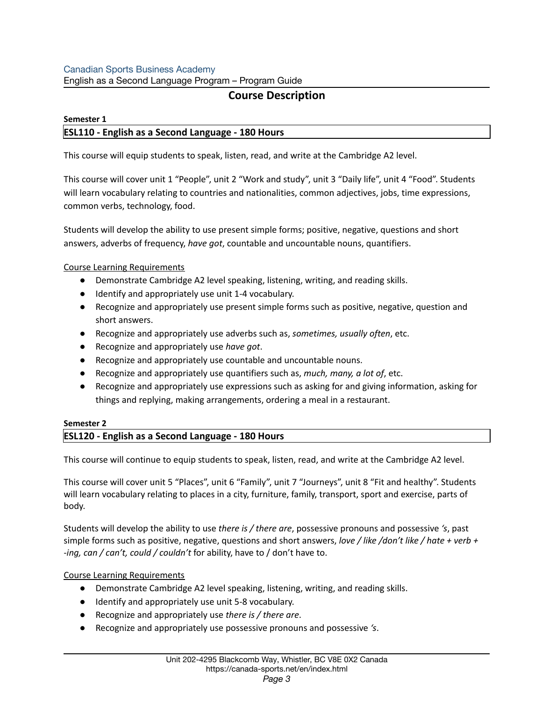# Canadian Sports Business Academy

English as a Second Language Program – Program Guide

# **Course Description**

# **Semester 1 ESL110 - English as a Second Language - 180 Hours**

This course will equip students to speak, listen, read, and write at the Cambridge A2 level.

This course will cover unit 1 "People", unit 2 "Work and study", unit 3 "Daily life", unit 4 "Food". Students will learn vocabulary relating to countries and nationalities, common adjectives, jobs, time expressions, common verbs, technology, food.

Students will develop the ability to use present simple forms; positive, negative, questions and short answers, adverbs of frequency, *have got*, countable and uncountable nouns, quantifiers.

# Course Learning Requirements

- Demonstrate Cambridge A2 level speaking, listening, writing, and reading skills.
- Identify and appropriately use unit 1-4 vocabulary.
- Recognize and appropriately use present simple forms such as positive, negative, question and short answers.
- Recognize and appropriately use adverbs such as, *sometimes, usually often*, etc.
- Recognize and appropriately use *have got*.
- Recognize and appropriately use countable and uncountable nouns.
- Recognize and appropriately use quantifiers such as, *much, many, a lot of*, etc.
- Recognize and appropriately use expressions such as asking for and giving information, asking for things and replying, making arrangements, ordering a meal in a restaurant.

# **Semester 2**

# **ESL120 - English as a Second Language - 180 Hours**

This course will continue to equip students to speak, listen, read, and write at the Cambridge A2 level.

This course will cover unit 5 "Places", unit 6 "Family", unit 7 "Journeys", unit 8 "Fit and healthy". Students will learn vocabulary relating to places in a city, furniture, family, transport, sport and exercise, parts of body.

Students will develop the ability to use *there is / there are*, possessive pronouns and possessive *'s*, past simple forms such as positive, negative, questions and short answers, *love / like /don't like / hate + verb + -ing, can / can't, could / couldn't* for ability, have to / don't have to.

# Course Learning Requirements

- Demonstrate Cambridge A2 level speaking, listening, writing, and reading skills.
- Identify and appropriately use unit 5-8 vocabulary.
- Recognize and appropriately use *there is / there are*.
- Recognize and appropriately use possessive pronouns and possessive *'s*.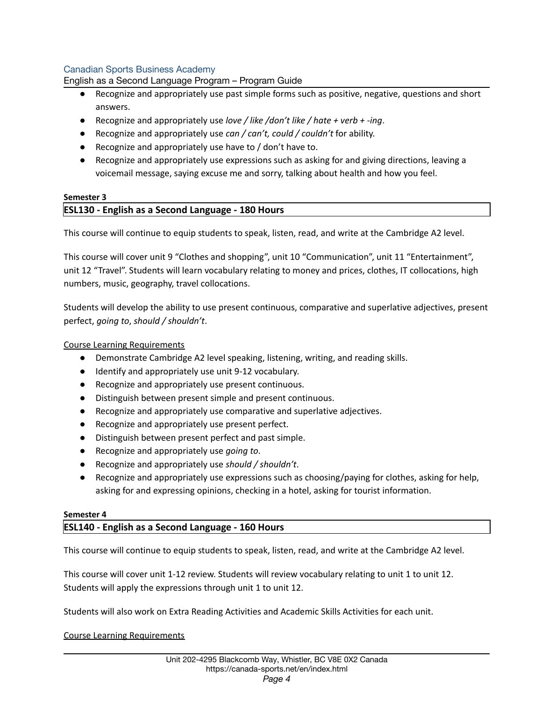## Canadian Sports Business Academy

English as a Second Language Program – Program Guide

- Recognize and appropriately use past simple forms such as positive, negative, questions and short answers.
- Recognize and appropriately use *love / like /don't like / hate + verb + -ing*.
- Recognize and appropriately use *can / can't, could / couldn't* for ability.
- Recognize and appropriately use have to / don't have to.
- Recognize and appropriately use expressions such as asking for and giving directions, leaving a voicemail message, saying excuse me and sorry, talking about health and how you feel.

## **Semester 3 ESL130 - English as a Second Language - 180 Hours**

This course will continue to equip students to speak, listen, read, and write at the Cambridge A2 level.

This course will cover unit 9 "Clothes and shopping", unit 10 "Communication", unit 11 "Entertainment", unit 12 "Travel". Students will learn vocabulary relating to money and prices, clothes, IT collocations, high numbers, music, geography, travel collocations.

Students will develop the ability to use present continuous, comparative and superlative adjectives, present perfect, *going to*, *should / shouldn't*.

## Course Learning Requirements

- Demonstrate Cambridge A2 level speaking, listening, writing, and reading skills.
- Identify and appropriately use unit 9-12 vocabulary.
- Recognize and appropriately use present continuous.
- Distinguish between present simple and present continuous.
- Recognize and appropriately use comparative and superlative adjectives.
- Recognize and appropriately use present perfect.
- Distinguish between present perfect and past simple.
- Recognize and appropriately use *going to*.
- Recognize and appropriately use *should / shouldn't*.
- Recognize and appropriately use expressions such as choosing/paying for clothes, asking for help, asking for and expressing opinions, checking in a hotel, asking for tourist information.

### **Semester 4**

### **ESL140 - English as a Second Language - 160 Hours**

This course will continue to equip students to speak, listen, read, and write at the Cambridge A2 level.

This course will cover unit 1-12 review. Students will review vocabulary relating to unit 1 to unit 12. Students will apply the expressions through unit 1 to unit 12.

Students will also work on Extra Reading Activities and Academic Skills Activities for each unit.

### Course Learning Requirements